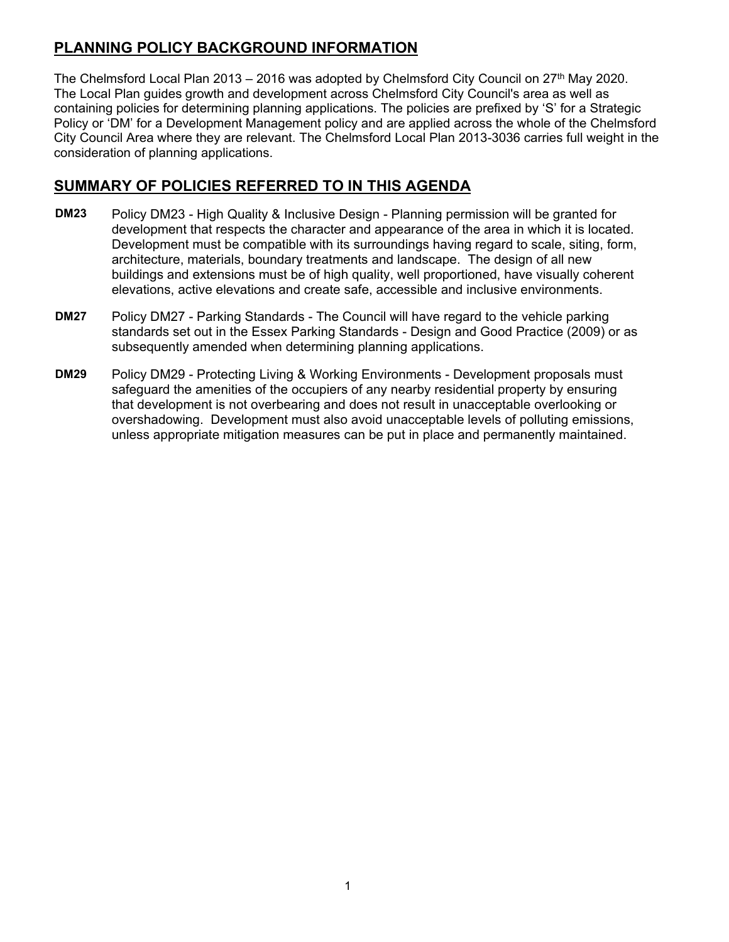## **PLANNING POLICY BACKGROUND INFORMATION**

The Chelmsford Local Plan 2013 – 2016 was adopted by Chelmsford City Council on  $27<sup>th</sup>$  May 2020. The Local Plan guides growth and development across Chelmsford City Council's area as well as containing policies for determining planning applications. The policies are prefixed by 'S' for a Strategic Policy or 'DM' for a Development Management policy and are applied across the whole of the Chelmsford City Council Area where they are relevant. The Chelmsford Local Plan 2013-3036 carries full weight in the consideration of planning applications.

## **SUMMARY OF POLICIES REFERRED TO IN THIS AGENDA**

- Policy DM23 High Quality & Inclusive Design Planning permission will be granted for development that respects the character and appearance of the area in which it is located. Development must be compatible with its surroundings having regard to scale, siting, form, architecture, materials, boundary treatments and landscape. The design of all new buildings and extensions must be of high quality, well proportioned, have visually coherent elevations, active elevations and create safe, accessible and inclusive environments. **DM23**
- Policy DM27 Parking Standards The Council will have regard to the vehicle parking standards set out in the Essex Parking Standards - Design and Good Practice (2009) or as subsequently amended when determining planning applications. **DM27**
- Policy DM29 Protecting Living & Working Environments Development proposals must safeguard the amenities of the occupiers of any nearby residential property by ensuring that development is not overbearing and does not result in unacceptable overlooking or overshadowing. Development must also avoid unacceptable levels of polluting emissions, unless appropriate mitigation measures can be put in place and permanently maintained. **DM29**